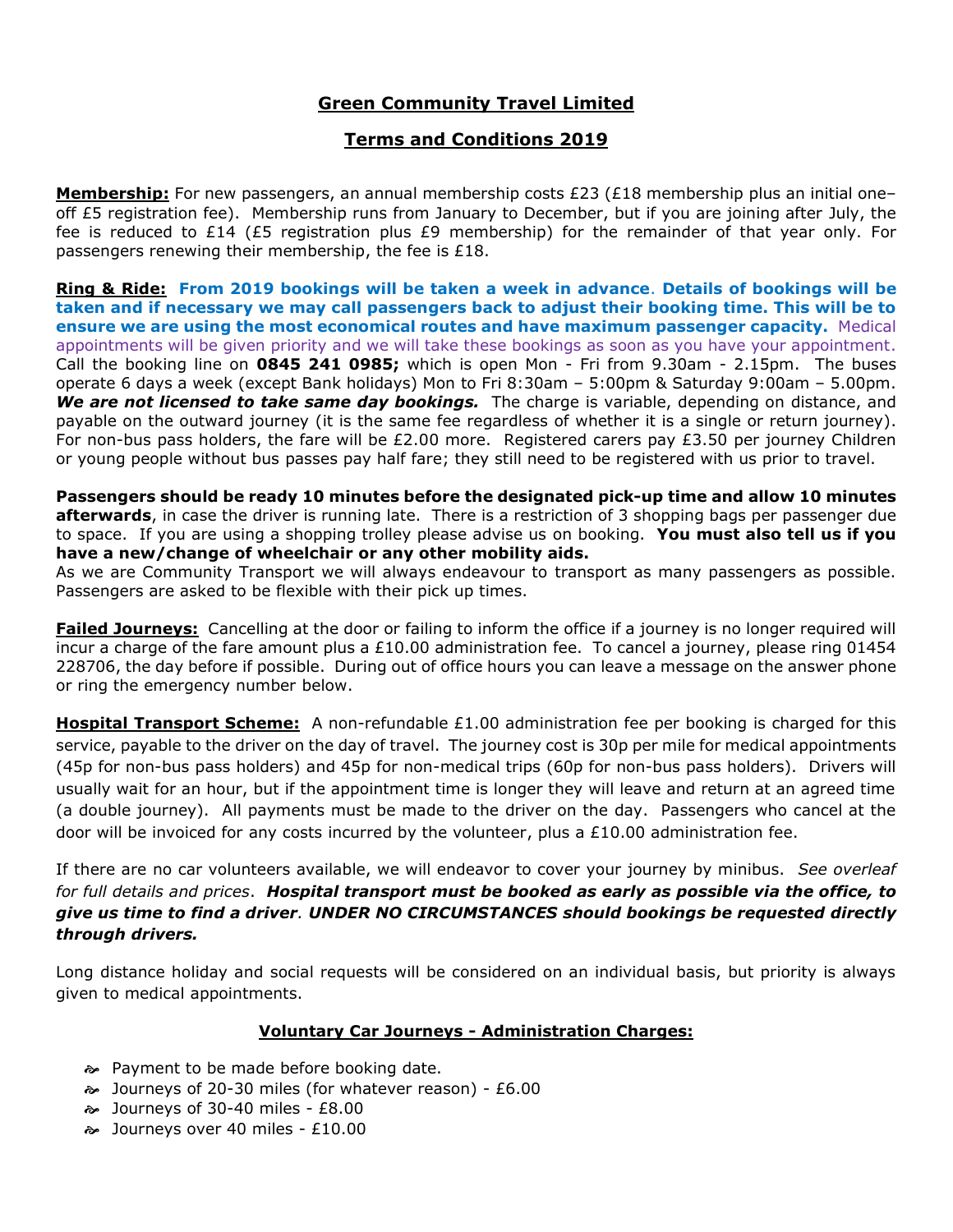# **Green Community Travel Limited**

## **Terms and Conditions 2019**

**Membership:** For new passengers, an annual membership costs £23 (£18 membership plus an initial one– off £5 registration fee). Membership runs from January to December, but if you are joining after July, the fee is reduced to £14 (£5 registration plus £9 membership) for the remainder of that year only. For passengers renewing their membership, the fee is £18.

**Ring & Ride: From 2019 bookings will be taken a week in advance**. **Details of bookings will be taken and if necessary we may call passengers back to adjust their booking time. This will be to ensure we are using the most economical routes and have maximum passenger capacity.** Medical appointments will be given priority and we will take these bookings as soon as you have your appointment. Call the booking line on **0845 241 0985;** which is open Mon - Fri from 9.30am - 2.15pm. The buses operate 6 days a week (except Bank holidays) Mon to Fri 8:30am – 5:00pm & Saturday 9:00am – 5.00pm. We are not licensed to take same day bookings. The charge is variable, depending on distance, and payable on the outward journey (it is the same fee regardless of whether it is a single or return journey). For non-bus pass holders, the fare will be £2.00 more. Registered carers pay £3.50 per journey Children or young people without bus passes pay half fare; they still need to be registered with us prior to travel.

**Passengers should be ready 10 minutes before the designated pick-up time and allow 10 minutes afterwards**, in case the driver is running late. There is a restriction of 3 shopping bags per passenger due to space. If you are using a shopping trolley please advise us on booking. **You must also tell us if you have a new/change of wheelchair or any other mobility aids.**

As we are Community Transport we will always endeavour to transport as many passengers as possible. Passengers are asked to be flexible with their pick up times.

**Failed Journeys:** Cancelling at the door or failing to inform the office if a journey is no longer required will incur a charge of the fare amount plus a £10.00 administration fee. To cancel a journey, please ring 01454 228706, the day before if possible. During out of office hours you can leave a message on the answer phone or ring the emergency number below.

**Hospital Transport Scheme:** A non-refundable £1.00 administration fee per booking is charged for this service, payable to the driver on the day of travel. The journey cost is 30p per mile for medical appointments (45p for non-bus pass holders) and 45p for non-medical trips (60p for non-bus pass holders). Drivers will usually wait for an hour, but if the appointment time is longer they will leave and return at an agreed time (a double journey). All payments must be made to the driver on the day. Passengers who cancel at the door will be invoiced for any costs incurred by the volunteer, plus a  $£10.00$  administration fee.

If there are no car volunteers available, we will endeavor to cover your journey by minibus. *See overleaf for full details and prices*. *Hospital transport must be booked as early as possible via the office, to give us time to find a driver. UNDER NO CIRCUMSTANCES should bookings be requested directly through drivers.*

Long distance holiday and social requests will be considered on an individual basis, but priority is always given to medical appointments.

#### **Voluntary Car Journeys - Administration Charges:**

- Payment to be made before booking date.
- Journeys of 20-30 miles (for whatever reason) £6.00
- Journeys of 30-40 miles £8.00
- Journeys over 40 miles £10.00